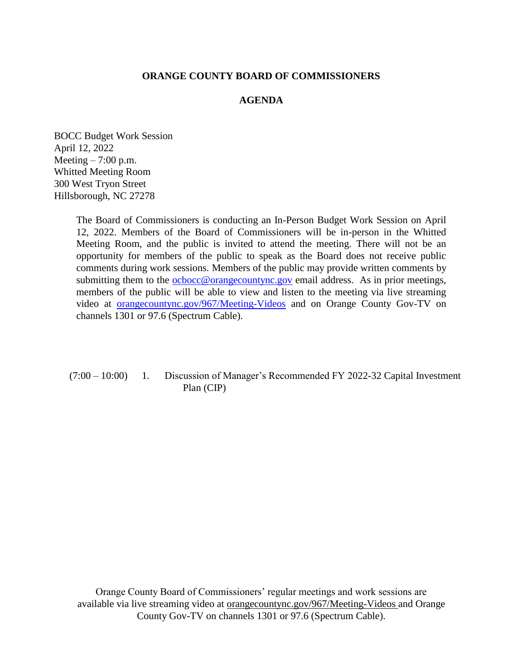## **ORANGE COUNTY BOARD OF COMMISSIONERS**

# **AGENDA**

BOCC Budget Work Session April 12, 2022 Meeting  $-7:00$  p.m. Whitted Meeting Room 300 West Tryon Street Hillsborough, NC 27278

> The Board of Commissioners is conducting an In-Person Budget Work Session on April 12, 2022. Members of the Board of Commissioners will be in-person in the Whitted Meeting Room, and the public is invited to attend the meeting. There will not be an opportunity for members of the public to speak as the Board does not receive public comments during work sessions. Members of the public may provide written comments by submitting them to the [ocbocc@orangecountync.gov](mailto:ocbocc@orangecountync.gov) email address. As in prior meetings, members of the public will be able to view and listen to the meeting via live streaming video at [orangecountync.gov/967/Meeting-Videos](http://www.orangecountync.gov/967/Meeting-Videos) and on Orange County Gov-TV on channels 1301 or 97.6 (Spectrum Cable).

(7:00 – 10:00) 1. Discussion of Manager's Recommended FY 2022-32 Capital Investment Plan (CIP)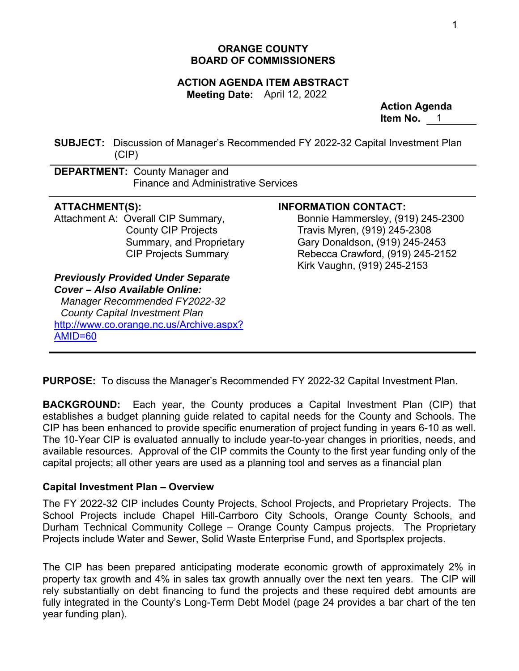# **ORANGE COUNTY BOARD OF COMMISSIONERS**

### **ACTION AGENDA ITEM ABSTRACT Meeting Date:** April 12, 2022

**Action Agenda Item No.** 1

**SUBJECT:** Discussion of Manager's Recommended FY 2022-32 Capital Investment Plan (CIP)

**DEPARTMENT:** County Manager and Finance and Administrative Services

Attachment A: Overall CIP Summary, County CIP Projects Summary, and Proprietary CIP Projects Summary

*Previously Provided Under Separate Cover – Also Available Online: Manager Recommended FY2022-32 County Capital Investment Plan*  http://www.co.orange.nc.us/Archive.aspx? AMID=60

# **ATTACHMENT(S): INFORMATION CONTACT:**

 Bonnie Hammersley, (919) 245-2300 Travis Myren, (919) 245-2308 Gary Donaldson, (919) 245-2453 Rebecca Crawford, (919) 245-2152 Kirk Vaughn, (919) 245-2153

**PURPOSE:** To discuss the Manager's Recommended FY 2022-32 Capital Investment Plan.

 $\overline{a}$ 

**BACKGROUND:** Each year, the County produces a Capital Investment Plan (CIP) that establishes a budget planning guide related to capital needs for the County and Schools. The CIP has been enhanced to provide specific enumeration of project funding in years 6-10 as well. The 10-Year CIP is evaluated annually to include year-to-year changes in priorities, needs, and available resources. Approval of the CIP commits the County to the first year funding only of the capital projects; all other years are used as a planning tool and serves as a financial plan

# **Capital Investment Plan – Overview**

The FY 2022-32 CIP includes County Projects, School Projects, and Proprietary Projects. The School Projects include Chapel Hill-Carrboro City Schools, Orange County Schools, and Durham Technical Community College – Orange County Campus projects. The Proprietary Projects include Water and Sewer, Solid Waste Enterprise Fund, and Sportsplex projects.

The CIP has been prepared anticipating moderate economic growth of approximately 2% in property tax growth and 4% in sales tax growth annually over the next ten years. The CIP will rely substantially on debt financing to fund the projects and these required debt amounts are fully integrated in the County's Long-Term Debt Model (page 24 provides a bar chart of the ten year funding plan).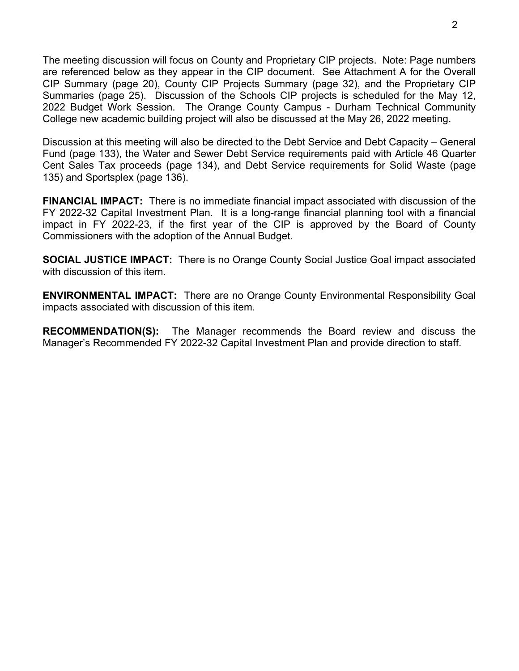The meeting discussion will focus on County and Proprietary CIP projects. Note: Page numbers are referenced below as they appear in the CIP document. See Attachment A for the Overall CIP Summary (page 20), County CIP Projects Summary (page 32), and the Proprietary CIP Summaries (page 25). Discussion of the Schools CIP projects is scheduled for the May 12, 2022 Budget Work Session. The Orange County Campus - Durham Technical Community College new academic building project will also be discussed at the May 26, 2022 meeting.

Discussion at this meeting will also be directed to the Debt Service and Debt Capacity – General Fund (page 133), the Water and Sewer Debt Service requirements paid with Article 46 Quarter Cent Sales Tax proceeds (page 134), and Debt Service requirements for Solid Waste (page 135) and Sportsplex (page 136).

**FINANCIAL IMPACT:** There is no immediate financial impact associated with discussion of the FY 2022-32 Capital Investment Plan. It is a long-range financial planning tool with a financial impact in FY 2022-23, if the first year of the CIP is approved by the Board of County Commissioners with the adoption of the Annual Budget.

**SOCIAL JUSTICE IMPACT:** There is no Orange County Social Justice Goal impact associated with discussion of this item.

**ENVIRONMENTAL IMPACT:** There are no Orange County Environmental Responsibility Goal impacts associated with discussion of this item.

**RECOMMENDATION(S):** The Manager recommends the Board review and discuss the Manager's Recommended FY 2022-32 Capital Investment Plan and provide direction to staff.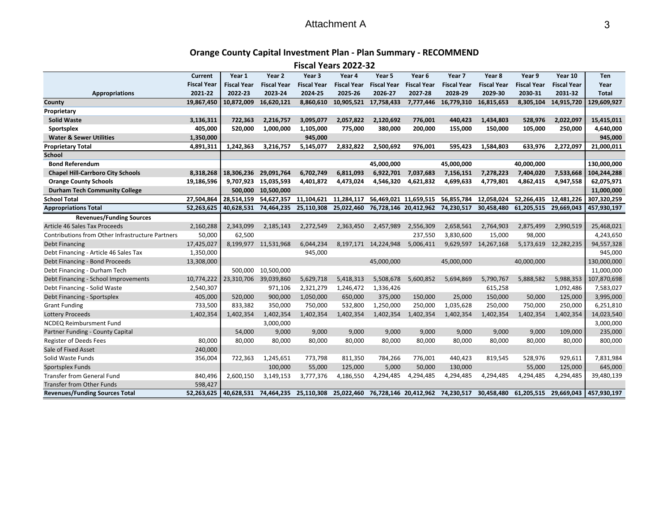#### Attachment A $\mathsf{A}$  3

# **Orange County Capital Investment Plan ‐ Plan Summary ‐ RECOMMEND**

**Fiscal Years 2022‐32**

|                                                  | Current            | Year 1             | Year 2               | Year 3             | Year 4                | Year 5                   | Year 6             | Year 7                                      | Year 8               | Year 9             | Year 10               | Ten          |
|--------------------------------------------------|--------------------|--------------------|----------------------|--------------------|-----------------------|--------------------------|--------------------|---------------------------------------------|----------------------|--------------------|-----------------------|--------------|
|                                                  | <b>Fiscal Year</b> | <b>Fiscal Year</b> | <b>Fiscal Year</b>   | <b>Fiscal Year</b> | <b>Fiscal Year</b>    | <b>Fiscal Year</b>       | <b>Fiscal Year</b> | <b>Fiscal Year</b>                          | <b>Fiscal Year</b>   | <b>Fiscal Year</b> | <b>Fiscal Year</b>    | Year         |
| <b>Appropriations</b>                            | 2021-22            | 2022-23            | 2023-24              | 2024-25            | 2025-26               | 2026-27                  | 2027-28            | 2028-29                                     | 2029-30              | 2030-31            | 2031-32               | <b>Total</b> |
| County                                           | 19,867,450         | 10,872,009         | 16,620,121           | 8,860,610          |                       | 10,905,521 17,758,433    |                    | 7,777,446 16,779,310                        | 16,815,653           | 8,305,104          | 14,915,720            | 129,609,927  |
| Proprietary                                      |                    |                    |                      |                    |                       |                          |                    |                                             |                      |                    |                       |              |
| <b>Solid Waste</b>                               | 3,136,311          | 722,363            | 2,216,757            | 3,095,077          | 2,057,822             | 2,120,692                | 776,001            | 440,423                                     | 1,434,803            | 528,976            | 2,022,097             | 15,415,011   |
| Sportsplex                                       | 405,000            | 520.000            | 1,000,000            | 1,105,000          | 775,000               | 380,000                  | 200,000            | 155,000                                     | 150,000              | 105,000            | 250,000               | 4,640,000    |
| <b>Water &amp; Sewer Utilities</b>               | 1,350,000          |                    |                      | 945,000            |                       |                          |                    |                                             |                      |                    |                       | 945,000      |
| <b>Proprietary Total</b>                         | 4,891,311          | 1,242,363          | 3,216,757            | 5,145,077          | 2,832,822             | 2,500,692                | 976,001            | 595,423                                     | 1,584,803            | 633,976            | 2,272,097             | 21,000,011   |
| <b>School</b>                                    |                    |                    |                      |                    |                       |                          |                    |                                             |                      |                    |                       |              |
| <b>Bond Referendum</b>                           |                    |                    |                      |                    |                       | 45,000,000               |                    | 45,000,000                                  |                      | 40,000,000         |                       | 130,000,000  |
| <b>Chapel Hill-Carrboro City Schools</b>         | 8,318,268          | 18,306,236         | 29,091,764           | 6,702,749          | 6,811,093             | 6,922,701                | 7,037,683          | 7,156,151                                   | 7,278,223            | 7,404,020          | 7,533,668             | 104,244,288  |
| <b>Orange County Schools</b>                     | 19,186,596         | 9,707,923          | 15,035,593           | 4,401,872          | 4,473,024             | 4,546,320                | 4,621,832          | 4,699,633                                   | 4,779,801            | 4,862,415          | 4,947,558             | 62,075,971   |
| <b>Durham Tech Community College</b>             |                    | 500,000            | 10,500,000           |                    |                       |                          |                    |                                             |                      |                    |                       | 11,000,000   |
| <b>School Total</b>                              | 27,504,864         | 28.514.159         | 54.627.357           |                    | 11.104.621 11.284.117 |                          |                    | 56,469,021 11,659,515 56,855,784            | 12.058.024           | 52.266.435         | 12.481.226            | 307.320.259  |
| <b>Appropriations Total</b>                      | 52,263,625         | 40,628,531         | 74,464,235           | 25,110,308         |                       |                          |                    | 25,022,460 76,728,146 20,412,962 74,230,517 | 30,458,480           | 61,205,515         | 29,669,043            | 457,930,197  |
| <b>Revenues/Funding Sources</b>                  |                    |                    |                      |                    |                       |                          |                    |                                             |                      |                    |                       |              |
| Article 46 Sales Tax Proceeds                    | 2,160,288          | 2,343,099          | 2,185,143            | 2,272,549          | 2,363,450             | 2,457,989                | 2,556,309          | 2,658,561                                   | 2,764,903            | 2,875,499          | 2,990,519             | 25,468,021   |
| Contributions from Other Infrastructure Partners | 50,000             | 62,500             |                      |                    |                       |                          | 237,550            | 3,830,600                                   | 15,000               | 98,000             |                       | 4,243,650    |
| <b>Debt Financing</b>                            | 17,425,027         |                    | 8,199,977 11,531,968 | 6,044,234          |                       | 8, 197, 171 14, 224, 948 | 5,006,411          |                                             | 9,629,597 14,267,168 |                    | 5,173,619 12,282,235  | 94,557,328   |
| Debt Financing - Article 46 Sales Tax            | 1,350,000          |                    |                      | 945,000            |                       |                          |                    |                                             |                      |                    |                       | 945,000      |
| Debt Financing - Bond Proceeds                   | 13,308,000         |                    |                      |                    |                       | 45,000,000               |                    | 45,000,000                                  |                      | 40,000,000         |                       | 130,000,000  |
| Debt Financing - Durham Tech                     |                    | 500,000            | 10,500,000           |                    |                       |                          |                    |                                             |                      |                    |                       | 11,000,000   |
| Debt Financing - School Improvements             | 10,774,222         | 23,310,706         | 39,039,860           | 5,629,718          | 5,418,313             | 5,508,678                | 5,600,852          | 5,694,869                                   | 5,790,767            | 5,888,582          | 5,988,353             | 107,870,698  |
| Debt Financing - Solid Waste                     | 2,540,307          |                    | 971,106              | 2,321,279          | 1,246,472             | 1,336,426                |                    |                                             | 615,258              |                    | 1,092,486             | 7,583,027    |
| Debt Financing - Sportsplex                      | 405,000            | 520,000            | 900,000              | 1,050,000          | 650,000               | 375,000                  | 150,000            | 25,000                                      | 150,000              | 50,000             | 125,000               | 3,995,000    |
| <b>Grant Funding</b>                             | 733,500            | 833,382            | 350,000              | 750,000            | 532,800               | 1,250,000                | 250,000            | 1,035,628                                   | 250,000              | 750,000            | 250,000               | 6,251,810    |
| <b>Lottery Proceeds</b>                          | 1,402,354          | 1,402,354          | 1,402,354            | 1,402,354          | 1,402,354             | 1,402,354                | 1,402,354          | 1,402,354                                   | 1,402,354            | 1,402,354          | 1,402,354             | 14,023,540   |
| <b>NCDEQ Reimbursment Fund</b>                   |                    |                    | 3,000,000            |                    |                       |                          |                    |                                             |                      |                    |                       | 3,000,000    |
| Partner Funding - County Capital                 |                    | 54,000             | 9,000                | 9,000              | 9,000                 | 9,000                    | 9,000              | 9,000                                       | 9,000                | 9,000              | 109,000               | 235,000      |
| <b>Register of Deeds Fees</b>                    | 80,000             | 80,000             | 80,000               | 80,000             | 80,000                | 80,000                   | 80,000             | 80,000                                      | 80,000               | 80,000             | 80,000                | 800,000      |
| Sale of Fixed Asset                              | 240,000            |                    |                      |                    |                       |                          |                    |                                             |                      |                    |                       |              |
| Solid Waste Funds                                | 356,004            | 722,363            | 1,245,651            | 773,798            | 811,350               | 784,266                  | 776,001            | 440,423                                     | 819,545              | 528,976            | 929,611               | 7,831,984    |
| Sportsplex Funds                                 |                    |                    | 100,000              | 55,000             | 125,000               | 5,000                    | 50,000             | 130,000                                     |                      | 55,000             | 125,000               | 645,000      |
| <b>Transfer from General Fund</b>                | 840,496            | 2,600,150          | 3,149,153            | 3,777,376          | 4,186,550             | 4,294,485                | 4,294,485          | 4,294,485                                   | 4,294,485            | 4,294,485          | 4,294,485             | 39,480,139   |
| <b>Transfer from Other Funds</b>                 | 598,427            |                    |                      |                    |                       |                          |                    |                                             |                      |                    |                       |              |
| <b>Revenues/Funding Sources Total</b>            | 52,263,625         | 40,628,531         | 74,464,235           | 25,110,308         |                       |                          |                    | 25,022,460 76,728,146 20,412,962 74,230,517 | 30,458,480           |                    | 61,205,515 29,669,043 | 457,930,197  |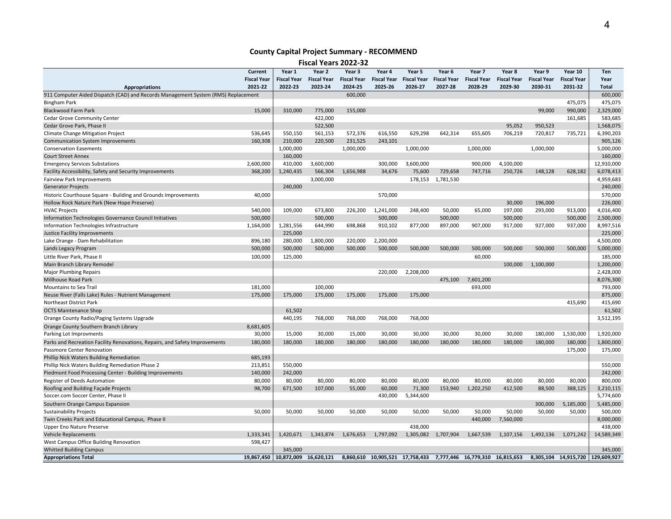#### **County Capital Project Summary ‐ RECOMMEND**

**Fiscal Years 2022‐32**

|                                                                                   | Current                       | Year 1                | Year 2             | Year 3             | Year 4                          | Year 5             | Year 6             | Year 7                          | Year 8             | Year 9             | Year 10            | Ten                              |
|-----------------------------------------------------------------------------------|-------------------------------|-----------------------|--------------------|--------------------|---------------------------------|--------------------|--------------------|---------------------------------|--------------------|--------------------|--------------------|----------------------------------|
|                                                                                   | <b>Fiscal Year</b><br>2021-22 | <b>Fiscal Year</b>    | <b>Fiscal Year</b> | <b>Fiscal Year</b> | <b>Fiscal Year</b>              | <b>Fiscal Year</b> | <b>Fiscal Year</b> | <b>Fiscal Year</b>              | <b>Fiscal Year</b> | <b>Fiscal Year</b> | <b>Fiscal Year</b> | Year                             |
| <b>Appropriations</b>                                                             |                               | 2022-23               | 2023-24            | 2024-25            | 2025-26                         | 2026-27            | 2027-28            | 2028-29                         | 2029-30            | 2030-31            | 2031-32            | <b>Total</b>                     |
| 911 Computer Aided Dispatch (CAD) and Records Management System (RMS) Replacement |                               |                       |                    | 600,000            |                                 |                    |                    |                                 |                    |                    |                    | 600,000                          |
| <b>Bingham Park</b>                                                               |                               |                       |                    |                    |                                 |                    |                    |                                 |                    |                    | 475,075            | 475,075                          |
| <b>Blackwood Farm Park</b>                                                        | 15,000                        | 310,000               | 775,000            | 155,000            |                                 |                    |                    |                                 |                    | 99,000             | 990,000            | 2,329,000                        |
| Cedar Grove Community Center                                                      |                               |                       | 422,000            |                    |                                 |                    |                    |                                 |                    |                    | 161,685            | 583,685                          |
| Cedar Grove Park, Phase II                                                        |                               |                       | 522,500            |                    |                                 |                    |                    |                                 | 95,052             | 950,523            |                    | 1,568,075                        |
| Climate Change Mitigation Project                                                 | 536,645                       | 550,150               | 561,153            | 572,376            | 616,550                         | 629,298            | 642,314            | 655,605                         | 706,219            | 720,817            | 735,721            | 6,390,203                        |
| <b>Communication System Improvements</b>                                          | 160,308                       | 210,000               | 220,500            | 231,525            | 243,101                         |                    |                    |                                 |                    |                    |                    | 905,126                          |
| <b>Conservation Easements</b>                                                     |                               | 1,000,000             |                    | 1,000,000          |                                 | 1,000,000          |                    | 1,000,000                       |                    | 1,000,000          |                    | 5,000,000                        |
| <b>Court Street Annex</b>                                                         |                               | 160,000               |                    |                    |                                 |                    |                    |                                 |                    |                    |                    | 160,000                          |
| <b>Emergency Services Substations</b>                                             | 2,600,000                     | 410,000               | 3,600,000          |                    | 300,000                         | 3,600,000          |                    | 900,000                         | 4,100,000          |                    |                    | 12,910,000                       |
| Facility Accessibility, Safety and Security Improvements                          | 368,200                       | 1,240,435             | 566,304            | 1,656,988          | 34,676                          | 75,600             | 729,658            | 747,716                         | 250,726            | 148,128            | 628,182            | 6,078,413                        |
| <b>Fairview Park Improvements</b>                                                 |                               |                       | 3,000,000          |                    |                                 | 178,153            | 1,781,530          |                                 |                    |                    |                    | 4,959,683                        |
| <b>Generator Projects</b>                                                         |                               | 240,000               |                    |                    |                                 |                    |                    |                                 |                    |                    |                    | 240,000                          |
| Historic Courthouse Square - Building and Grounds Improvements                    | 40,000                        |                       |                    |                    | 570,000                         |                    |                    |                                 |                    |                    |                    | 570,000                          |
| Hollow Rock Nature Park (New Hope Preserve)                                       |                               |                       |                    |                    |                                 |                    |                    |                                 | 30,000             | 196,000            |                    | 226,000                          |
| <b>HVAC Projects</b>                                                              | 540,000                       | 109,000               | 673,800            | 226,200            | 1,241,000                       | 248,400            | 50,000             | 65,000                          | 197,000            | 293,000            | 913,000            | 4,016,400                        |
| Information Technologies Governance Council Initiatives                           | 500,000                       |                       | 500,000            |                    | 500,000                         |                    | 500,000            |                                 | 500,000            |                    | 500,000            | 2,500,000                        |
| Information Technologies Infrastructure                                           | 1,164,000                     | 1,281,556             | 644,990            | 698,868            | 910,102                         | 877,000            | 897,000            | 907,000                         | 917,000            | 927,000            | 937,000            | 8,997,516                        |
| Justice Facility Improvements                                                     |                               | 225,000               |                    |                    |                                 |                    |                    |                                 |                    |                    |                    | 225,000                          |
| Lake Orange - Dam Rehabilitation                                                  | 896,180                       | 280,000               | 1,800,000          | 220,000            | 2,200,000                       |                    |                    |                                 |                    |                    |                    | 4,500,000                        |
| Lands Legacy Program                                                              | 500,000                       | 500,000               | 500,000            | 500,000            | 500,000                         | 500,000            | 500,000            | 500,000                         | 500,000            | 500,000            | 500,000            | 5,000,000                        |
| Little River Park, Phase II                                                       | 100,000                       | 125,000               |                    |                    |                                 |                    |                    | 60,000                          |                    |                    |                    | 185,000                          |
| Main Branch Library Remodel                                                       |                               |                       |                    |                    |                                 |                    |                    |                                 | 100,000            | 1,100,000          |                    | 1,200,000                        |
| <b>Major Plumbing Repairs</b>                                                     |                               |                       |                    |                    | 220,000                         | 2,208,000          |                    |                                 |                    |                    |                    | 2,428,000                        |
| Millhouse Road Park                                                               |                               |                       |                    |                    |                                 |                    | 475,100            | 7,601,200                       |                    |                    |                    | 8,076,300                        |
| Mountains to Sea Trail                                                            | 181,000                       |                       | 100,000            |                    |                                 |                    |                    | 693,000                         |                    |                    |                    | 793,000                          |
| Neuse River (Falls Lake) Rules - Nutrient Management                              | 175,000                       | 175,000               | 175,000            | 175,000            | 175,000                         | 175,000            |                    |                                 |                    |                    |                    | 875,000                          |
| Northeast District Park                                                           |                               |                       |                    |                    |                                 |                    |                    |                                 |                    |                    | 415,690            | 415,690                          |
| <b>OCTS Maintenance Shop</b>                                                      |                               | 61,502                |                    |                    |                                 |                    |                    |                                 |                    |                    |                    | 61,502                           |
| Orange County Radio/Paging Systems Upgrade                                        |                               | 440,195               | 768,000            | 768,000            | 768,000                         | 768,000            |                    |                                 |                    |                    |                    | 3,512,195                        |
| Orange County Southern Branch Library                                             | 8,681,605                     |                       |                    |                    |                                 |                    |                    |                                 |                    |                    |                    |                                  |
| Parking Lot Improvments                                                           | 30,000                        | 15,000                | 30,000             | 15,000             | 30,000                          | 30,000             | 30,000             | 30,000                          | 30,000             | 180,000            | 1,530,000          | 1,920,000                        |
| Parks and Recreation Facility Renovations, Repairs, and Safety Improvements       | 180,000                       | 180,000               | 180,000            | 180,000            | 180,000                         | 180,000            | 180,000            | 180,000                         | 180,000            | 180,000            | 180,000            | 1,800,000                        |
| Passmore Center Renovation                                                        |                               |                       |                    |                    |                                 |                    |                    |                                 |                    |                    | 175,000            | 175,000                          |
| Phillip Nick Waters Building Remediation                                          | 685,193                       |                       |                    |                    |                                 |                    |                    |                                 |                    |                    |                    |                                  |
| Phillip Nick Waters Building Remediation Phase 2                                  | 213,851                       | 550,000               |                    |                    |                                 |                    |                    |                                 |                    |                    |                    | 550,000                          |
| Piedmont Food Processing Center - Building Improvements                           | 140,000                       | 242,000               |                    |                    |                                 |                    |                    |                                 |                    |                    |                    | 242,000                          |
| <b>Register of Deeds Automation</b>                                               | 80,000                        | 80,000                | 80,000             | 80,000             | 80,000                          | 80,000             | 80,000             | 80,000                          | 80,000             | 80,000             | 80,000             | 800,000                          |
| Roofing and Building Façade Projects                                              | 98,700                        | 671,500               | 107,000            | 55,000             | 60,000                          | 71,300             | 153,940            | 1,202,250                       | 412,500            | 88,500             | 388,125            | 3,210,115                        |
| Soccer.com Soccer Center, Phase II                                                |                               |                       |                    |                    | 430,000                         | 5,344,600          |                    |                                 |                    |                    |                    | 5,774,600                        |
| Southern Orange Campus Expansion                                                  |                               |                       |                    |                    |                                 |                    |                    |                                 |                    | 300,000            | 5,185,000          | 5,485,000                        |
| <b>Sustainability Projects</b>                                                    | 50,000                        | 50,000                | 50,000             | 50,000             | 50,000                          | 50,000             | 50,000             | 50,000                          | 50,000             | 50,000             | 50,000             | 500,000                          |
| Twin Creeks Park and Educational Campus, Phase II                                 |                               |                       |                    |                    |                                 |                    |                    | 440,000                         | 7,560,000          |                    |                    | 8,000,000                        |
| Upper Eno Nature Preserve                                                         |                               |                       |                    |                    |                                 | 438,000            |                    |                                 |                    |                    |                    | 438,000                          |
| Vehicle Replacements                                                              | 1,333,341                     | 1,420,671             | 1,343,874          | 1,676,653          | 1,797,092                       | 1,305,082          | 1,707,904          | 1,667,539                       | 1,107,156          | 1,492,136          | 1,071,242          | 14,589,349                       |
| West Campus Office Building Renovation                                            | 598,427                       |                       |                    |                    |                                 |                    |                    |                                 |                    |                    |                    |                                  |
| <b>Whitted Building Campus</b>                                                    |                               | 345,000               |                    |                    |                                 |                    |                    |                                 |                    |                    |                    | 345,000                          |
| <b>Appropriations Total</b>                                                       | 19,867,450                    | 10,872,009 16,620,121 |                    |                    | 8,860,610 10,905,521 17,758,433 |                    |                    | 7,777,446 16,779,310 16,815,653 |                    |                    |                    | 8,305,104 14,915,720 129,609,927 |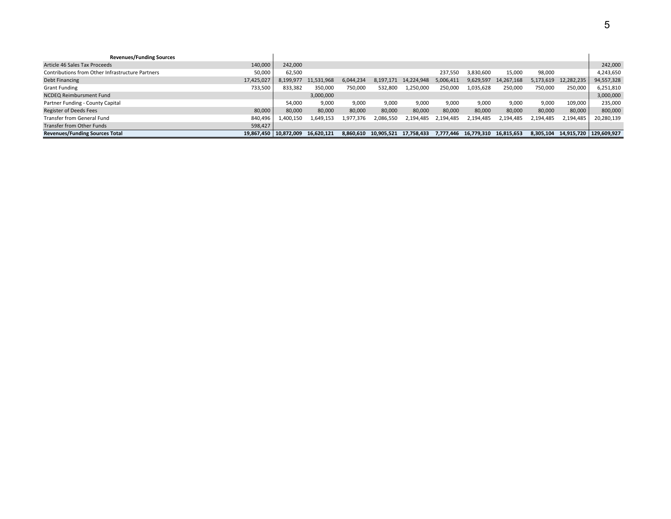| <b>Revenues/Funding Sources</b>                  |                         |           |            |           |            |            |           |                      |            |           |                          |            |
|--------------------------------------------------|-------------------------|-----------|------------|-----------|------------|------------|-----------|----------------------|------------|-----------|--------------------------|------------|
| Article 46 Sales Tax Proceeds                    | 140,000                 | 242,000   |            |           |            |            |           |                      |            |           |                          | 242,000    |
| Contributions from Other Infrastructure Partners | 50,000                  | 62,500    |            |           |            |            | 237.550   | 3,830,600            | 15,000     | 98,000    |                          | 4,243,650  |
| Debt Financing                                   | 17,425,027              | 8,199,977 | 11,531,968 | 6.044.234 | 8,197,171  | 14,224,948 | 5.006.411 | 9,629,597            | 14,267,168 | 5,173,619 | 12,282,235               | 94,557,328 |
| <b>Grant Funding</b>                             | 733,500                 | 833,382   | 350,000    | 750,000   | 532,800    | 1,250,000  | 250,000   | 1,035,628            | 250,000    | 750,000   | 250,000                  | 6,251,810  |
| <b>NCDEQ Reimbursment Fund</b>                   |                         |           | 3,000,000  |           |            |            |           |                      |            |           |                          | 3,000,000  |
| Partner Funding - County Capital                 |                         | 54,000    | 9,000      | 9,000     | 9,000      | 9,000      | 9,000     | 9,000                | 9,000      | 9,000     | 109,000                  | 235,000    |
| <b>Register of Deeds Fees</b>                    | 80,000                  | 80,000    | 80,000     | 80,000    | 80,000     | 80,000     | 80,000    | 80,000               | 80,000     | 80,000    | 80,000                   | 800,000    |
| Transfer from General Fund                       | 840,496                 | 1,400,150 | 1,649,153  | 1,977,376 | 2.086.550  | 2,194,485  | 2,194,485 | 2,194,485            | 2,194,485  | 2,194,485 | 2,194,485                | 20,280,139 |
| Transfer from Other Funds                        | 598,427                 |           |            |           |            |            |           |                      |            |           |                          |            |
| <b>Revenues/Funding Sources Total</b>            | 19.867.450   10.872.009 |           | 16.620.121 | 8,860,610 | 10,905,521 | 17,758,433 |           | 7,777,446 16,779,310 | 16,815,653 | 8,305,104 | 14,915,720   129,609,927 |            |